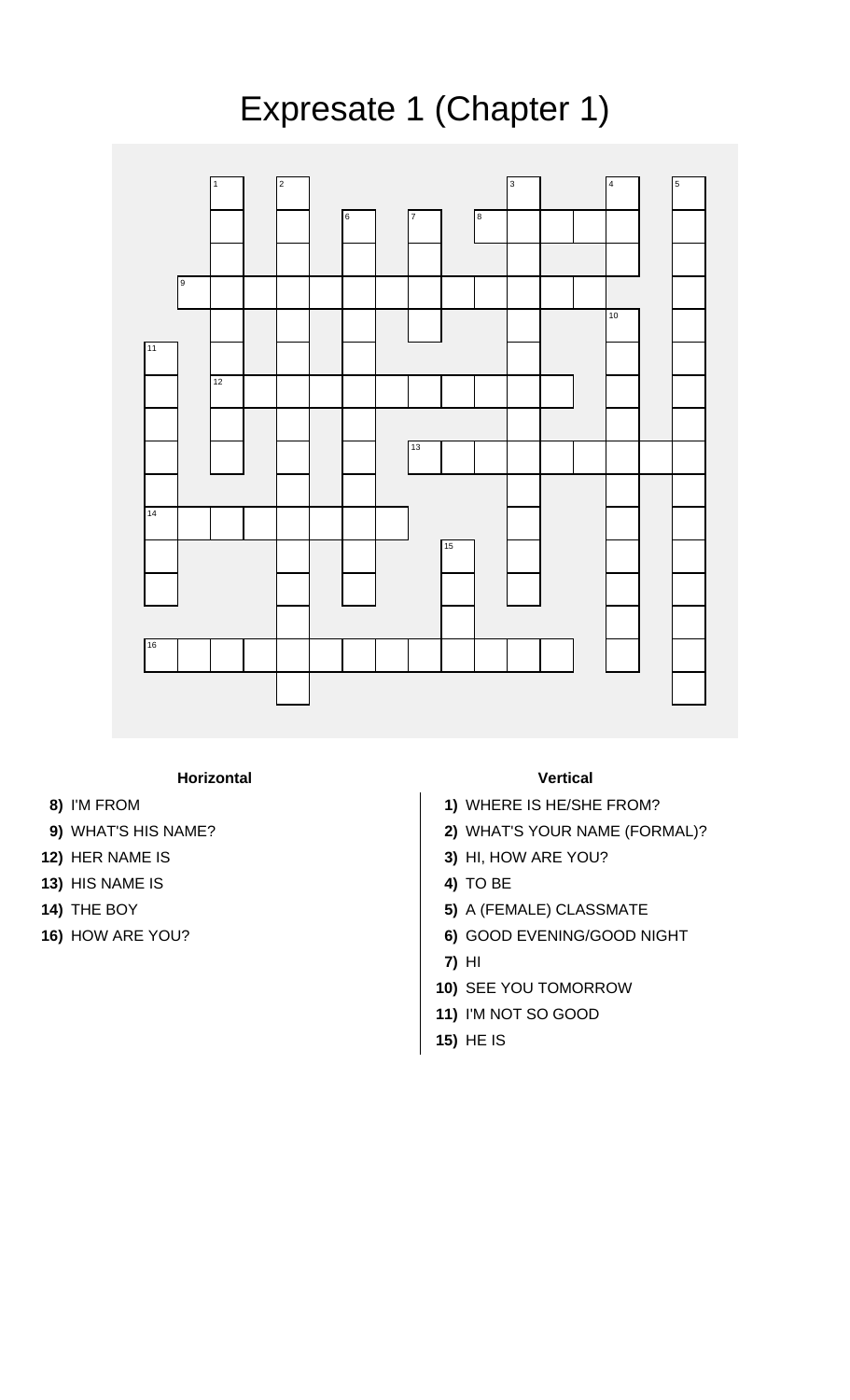## Expresate 1 (Chapter 1)



## **Horizontal Vertical**

- 
- 
- 
- **13)** HIS NAME IS **4)** TO BE
- 
- 

- **8)** I'M FROM **1)** WHERE IS HE/SHE FROM?
- **9)** WHAT'S HIS NAME? **2)** WHAT'S YOUR NAME (FORMAL)?
- **12)** HER NAME IS **3)** HI, HOW ARE YOU?
	-
- **14)** THE BOY **5)** A (FEMALE) CLASSMATE
- **16)** HOW ARE YOU? **6)** GOOD EVENING/GOOD NIGHT
	- **7)** HI
	- **10)** SEE YOU TOMORROW
	- **11)** I'M NOT SO GOOD
	- **15)** HE IS